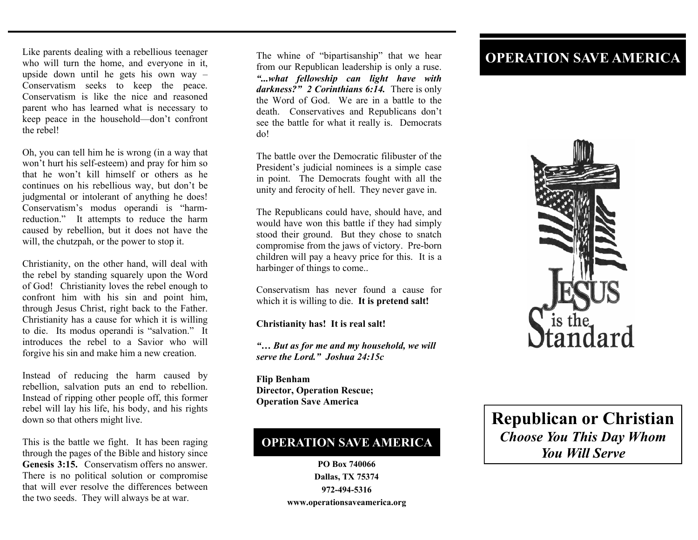Like parents dealing with a rebellious teenager who will turn the home, and everyone in it, upside down until he gets his own way – Conservatism seeks to keep the peace. Conservatism is like the nice and reasoned parent who has learned what is necessary to keep peace in the household—don't confront the rebel!

Oh, you can tell him he is wrong (in a way that won't hurt his self-esteem) and pray for him so that he won't kill himself or others as he continues on his rebellious way, but don't be judgmental or intolerant of anything he does! Conservatism's modus operandi is "harmreduction." It attempts to reduce the harm caused by rebellion, but it does not have the will, the chutzpah, or the power to stop it.

Christianity, on the other hand, will deal with the rebel by standing squarely upon the Word of God!Christianity loves the rebel enough to confront him with his sin and point him, through Jesus Christ, right back to the Father. Christianity has a cause for which it is willing to die. Its modus operandi is "salvation." It introduces the rebel to a Savior who will forgive his sin and make him a new creation.

Instead of reducing the harm caused by rebellion, salvation puts an end to rebellion. Instead of ripping other people off, this former rebel will lay his life, his body, and his rights down so that others might live.

This is the battle we fight. It has been raging through the pages of the Bible and history since **Genesis 3:15.** Conservatism offers no answer. There is no political solution or compromise that will ever resolve the differences between the two seeds. They will always be at war.

The whine of "bipartisanship" that we hear from our Republican leadership is only a ruse. *"...what fellowship can light have with darkness?" 2 Corinthians 6:14.* There is only the Word of God. We are in a battle to the death. Conservatives and Republicans don't see the battle for what it really is. Democrats do!

The battle over the Democratic filibuster of the President's judicial nominees is a simple case in point. The Democrats fought with all the unity and ferocity of hell. They never gave in.

The Republicans could have, should have, and would have won this battle if they had simply stood their ground. But they chose to snatch compromise from the jaws of victory. Pre-born children will pay a heavy price for this. It is a harbinger of things to come..

Conservatism has never found a cause for which it is willing to die. **It is pretend salt!** 

**Christianity has! It is real salt!** 

*"… But as for me and my household, we will serve the Lord." Joshua 24:15c* 

**Flip Benham Director, Operation Rescue; Operation Save America** 

## **OPERATION SAVE AMERICA**

**PO Box 740066 Dallas, TX 75374 972-494-5316 www.operationsaveamerica.org** 

## **OPERATION SAVE AMERICA**



**Republican or Christian**  *Choose You This Day Whom You Will Serve*